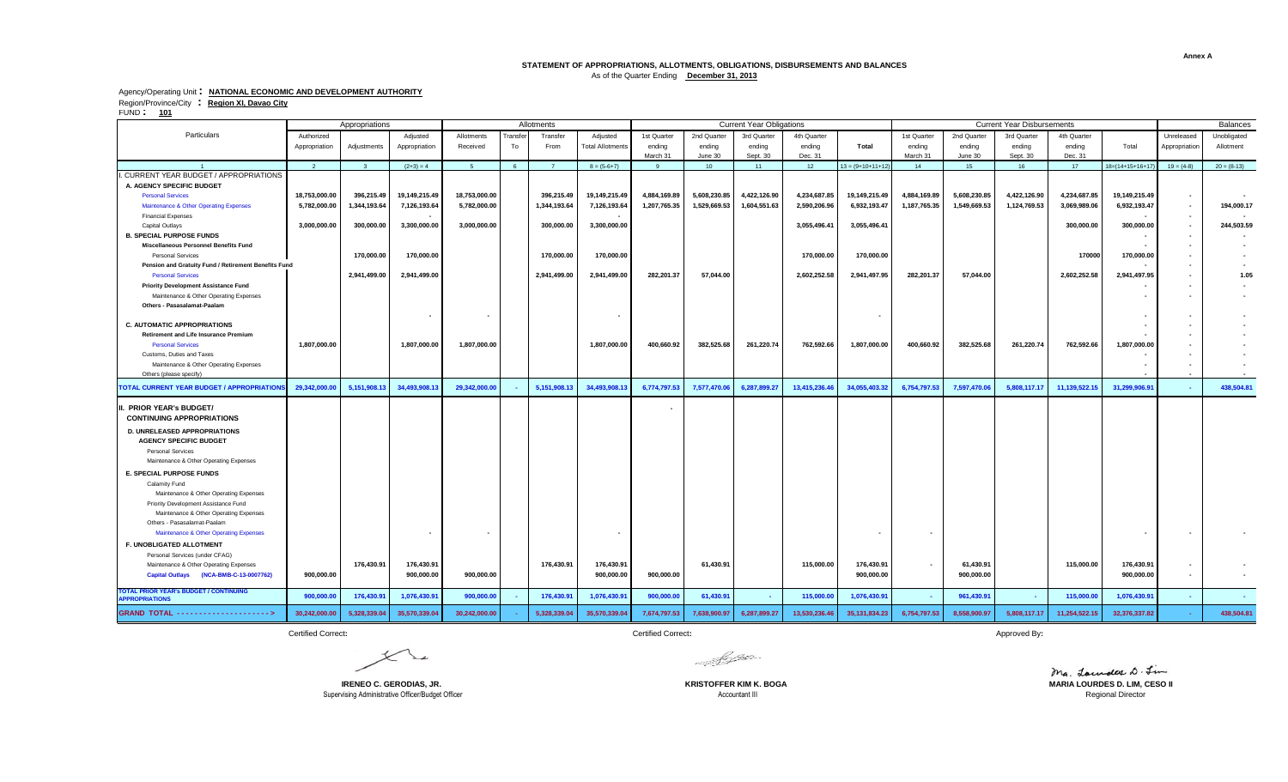## As of the Quarter Ending **December 31, 2013 STATEMENT OF APPROPRIATIONS, ALLOTMENTS, OBLIGATIONS, DISBURSEMENTS AND BALANCES**

## Agency/Operating Unit **: NATIONAL ECONOMIC AND DEVELOPMENT AUTHORITY**

Region/Province/City **: Region XI, Davao City** FUND **: <sup>101</sup>**

Authorized | Adjusted Allotments Transfer Transfer | Adjusted | 1st Quarter | 2nd Quarter | 4th Quarter | 2nd Quarter | 2nd Quarter | 3rd Quarter | 3rd Quarter | 4th Quarter | 4th Quarter | 4th Quarter | 2nd Quarter | 3rd Appropriation Adjustments Appropriation Received To From Total Allotments ending ending ending ending and appropriation and allotment Appropriation Allotment March 31 June 30 Sept. 30 Dec. 31 March 31 June 30 Sept. 30 Dec. 31 1 2 3 (2+3)≡4 5 6 7 8 5 6 7 8 5 6 6 7 8 6 65+7) 9 10 1 11 1 12 13=(9+10+11+12) 14 1 15 1 16 1 17 18=(14+15+16+17) 19 = (4-8) 20 = (8-13) **CURRENT YEAR BUDGET / APPROPRIATIONS A. AGENCY SPECIFIC BUDGET** - Personal Services 18,753,000.00 | 396,215.49 | 19,149,215.49 | 18,753,000.00 | 396,215.49 | 19,149,215.49 | 4,884,169.89 | 5,608,230.85 | 19,149,215.49 | 4,234,687.85 | 1,492,210.90 | 4,234,687.85 | 1, Maintenance & Other Operating Expenses | 5,782,000.00 | 1,344,193.64 | 7,126,193.64 | 5,782,000.00 | 1,344,193.64 | 1,344,193.64 | 1,259,669.53 | 1,502,699.206.36 | 1,87,765.35 | 1,547,65.55 | 1,747,765.35 | 1,124,769.5 Financial Expenses **- - - - -** Capital Outlays **3,000,000.00 300,000.00 3,300,000.00 3,000,000.00 300,000.00 3,300,000.00 3,055,496.41 3,055,496.41 300,000.00 300,000.00 - 244,503.59 B. SPECIAL PURPOSE FUNDS - - - Miscellaneous Personnel Benefits Fund - - -** Personal Services **170,000.00 170,000.00 170,000.00 170,000.00 170,000.00 170,000.00 170000 170,000.00 - - Pension and Gratuity Fund / Retirement Benefits Fund - - -** Personal Services **2,941,499.00 2,941,499.00 2,941,499.00 2,941,499.00 282,201.37 57,044.00 2,602,252.58 2,941,497.95 282,201.37 57,044.00 2,602,252.58 2,941,497.95 - 1.05 Priority Development Assistance Fund - - -** Maintenance & Other Operating Expenses **- - - Others - Pasasalamat-Paalam - - - - - - - C. AUTOMATIC APPROPRIATIONS - - -** - المساوة المساوة المساوة المساوة المساوة المساوة المساوة المساوة المساوة المساوة المساوة المساوة المساوة المساوة<br>المساوة المساوة المساوة المساوة المساوة المساوة المساوة المساوة المساوة المساوة المساوة المساوة المساوة الم Personal Services 1,807,000.00 | 1,807,000.00 | 1,807,000.00 | 1,807,000.00 | 1,807,000.00 | 1,807,000.00 | 1,807,000.00 | Customs, Duties and Taxes **- - -** Maintenance & Other Operating Expenses **- - -** Others (please specify) **- - -** TOTAL CURRENT YEAR BUDGET / APPROPRIATIONS 29,342,000.00 5,151,908.13 34,493,908.13 29,342,000.00 - 5,151,908.13 34,493,908.13 34,493,908.13 34,493,908.13 57,577,470.06 6,287,899.27 13,415,236.46 34,055,403.32 6,754,797.53 **II. PRIOR YEAR's BUDGET/ - CONTINUING APPROPRIATIONS D. UNRELEASED APPROPRIATIONS AGENCY SPECIFIC BUDGET** Personal Services Maintenance & Other Operating Expenses  **E. SPECIAL PURPOSE FUNDS** Calamity Fund Maintenance & Other Operating Expenses Priority Development Assistance Fund Maintenance & Other Operating Expenses Others - Pasasalamat-Paalam Maintenance & Other Operating Expenses **- - - - - - - - F. UNOBLIGATED ALLOTMENT** Personal Services (under CFAG) Maintenance & Other Operating Expenses **176,430.91 176,430.91 176,430.91 176,430.91 61,430.91 115,000.00 176,430.91 - 61,430.91 115,000.00 176,430.91 - - Capital Outlays (NCA-BMB-C-13-0007762) 900,000.00 900,000.00 900,000.00 900,000.00 900,000.00 900,000.00 900,000.00 900,000.00 - - TOTAL PRIOR YEAR's BUDGET / CONTINUING**  АРРROPRIATIONS 900,000.00 176,430.91 1,076,430.91 900,000.00 - 176,430.91 1,076,430.91 - 95,430.91 - 961,430.91 - 961,430.91 - 115,000.00 1,076,430.91 - 115,000.00 1,076,430.91 - 115,000.00 1,076,430.91 - - -GRAND TOTAL ------------------> 30,242,000.00 5.328,339.04 35,570,339.04 30,242,000.00 - 5.328,339.04 35,570,339.04 35,570,339.04 7.674,797.53 7.638,900.97 6.287,899.27 13,530,236.46 35,131,834.23 6,754,797.53 8,558,900.97 Particulars Appropriations Allotments Allotments Allotments Allotments Current Year Obligations Current Year Disbursements Balances

Certified Correct**:** Certified Correct**:** Approved By**:**

Supervising Administrative Officer/Budget Officer **Accountant III** Accountant III Accountant III Regional Director

<u> La</u>

Mrs. Lounder D. Lim **IRENEO C. GERODIAS, JR. KRISTOFFER KIM K. BOGA MARIA LOURDES D. LIM, CESO II**

 **Annex A**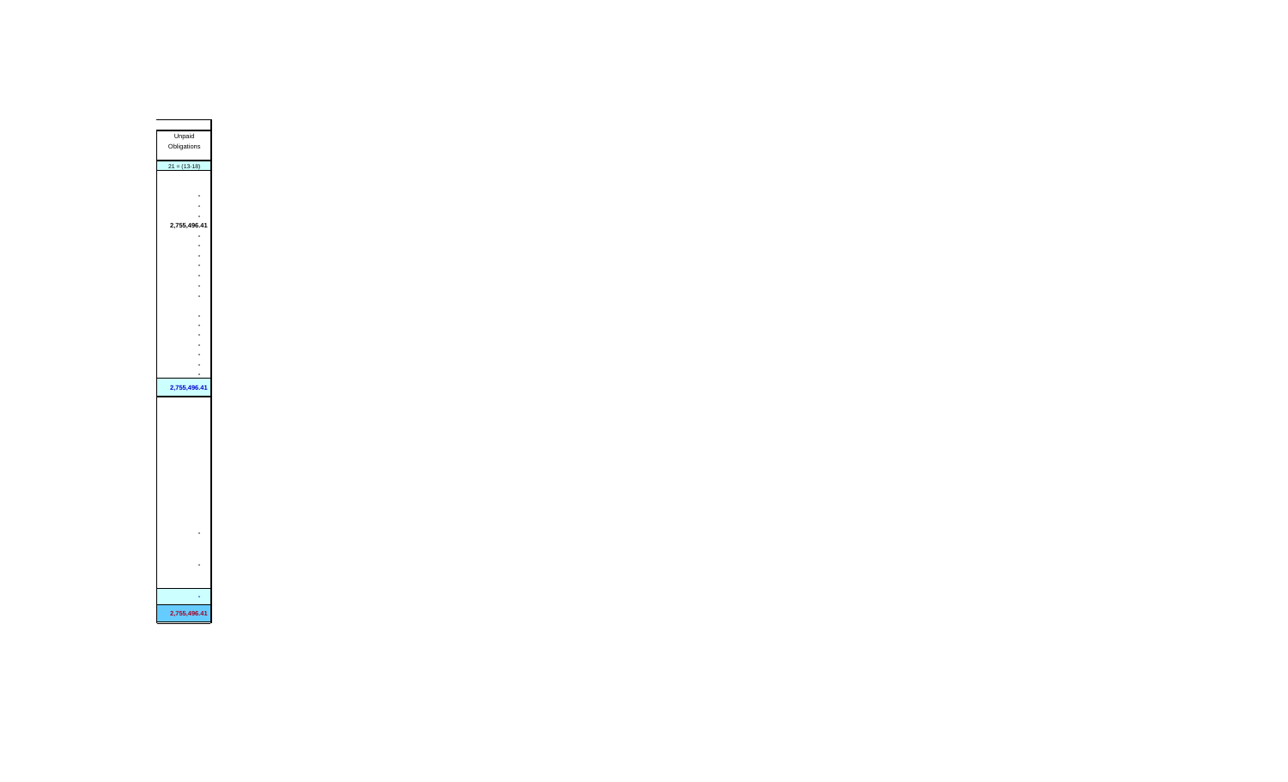